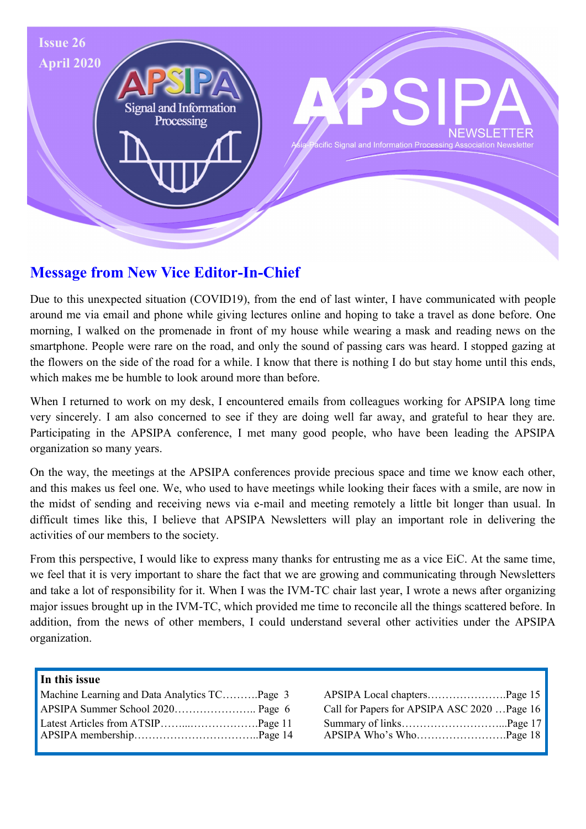

# **Message from New Vice Editor-In-Chief**

Due to this unexpected situation (COVID19), from the end of last winter, I have communicated with people around me via email and phone while giving lectures online and hoping to take a travel as done before. One morning, I walked on the promenade in front of my house while wearing a mask and reading news on the smartphone. People were rare on the road, and only the sound of passing cars was heard. I stopped gazing at the flowers on the side of the road for a while. I know that there is nothing I do but stay home until this ends, which makes me be humble to look around more than before.

When I returned to work on my desk, I encountered emails from colleagues working for APSIPA long time very sincerely. I am also concerned to see if they are doing well far away, and grateful to hear they are. Participating in the APSIPA conference, I met many good people, who have been leading the APSIPA organization so many years.

On the way, the meetings at the APSIPA conferences provide precious space and time we know each other, and this makes us feel one. We, who used to have meetings while looking their faces with a smile, are now in the midst of sending and receiving news via e-mail and meeting remotely a little bit longer than usual. In difficult times like this, I believe that APSIPA Newsletters will play an important role in delivering the activities of our members to the society.

From this perspective, I would like to express many thanks for entrusting me as a vice EiC. At the same time, we feel that it is very important to share the fact that we are growing and communicating through Newsletters and take a lot of responsibility for it. When I was the IVM-TC chair last year, I wrote a news after organizing major issues brought up in the IVM-TC, which provided me time to reconcile all the things scattered before. In addition, from the news of other members, I could understand several other activities under the APSIPA organization.

#### **In this issue**

| Machine Learning and Data Analytics TCPage 3 |                                             |
|----------------------------------------------|---------------------------------------------|
|                                              | Call for Papers for APSIPA ASC 2020 Page 16 |
|                                              |                                             |

| APSIPA Local chaptersPage 15                |  |
|---------------------------------------------|--|
| Call for Papers for APSIPA ASC 2020 Page 16 |  |
|                                             |  |
| APSIPA Who's WhoPage 18                     |  |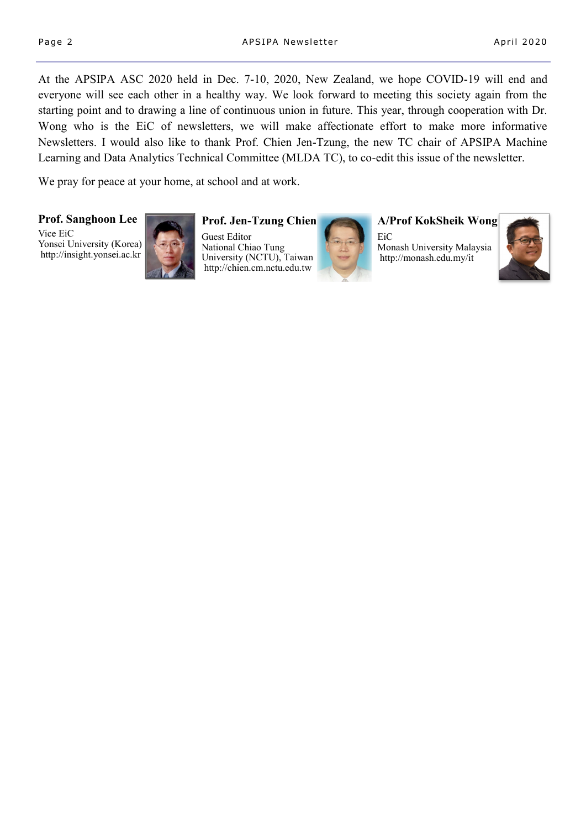At the APSIPA ASC 2020 held in Dec. 7-10, 2020, New Zealand, we hope COVID-19 will end and everyone will see each other in a healthy way. We look forward to meeting this society again from the starting point and to drawing a line of continuous union in future. This year, through cooperation with Dr. Wong who is the EiC of newsletters, we will make affectionate effort to make more informative Newsletters. I would also like to thank Prof. Chien Jen-Tzung, the new TC chair of APSIPA Machine Learning and Data Analytics Technical Committee (MLDA TC), to co-edit this issue of the newsletter.

We pray for peace at your home, at school and at work.

**Prof. Sanghoon Lee**

Vice EiC Yonsei University (Korea) http://insight.yonsei.ac.kr



#### **Prof. Jen-Tzung Chien**

Guest Editor National Chiao Tung University (NCTU), Taiwan http://chien.cm.nctu.edu.tw



**A/Prof KokSheik Wong**

EiC Monash University Malaysia http://monash.edu.my/it

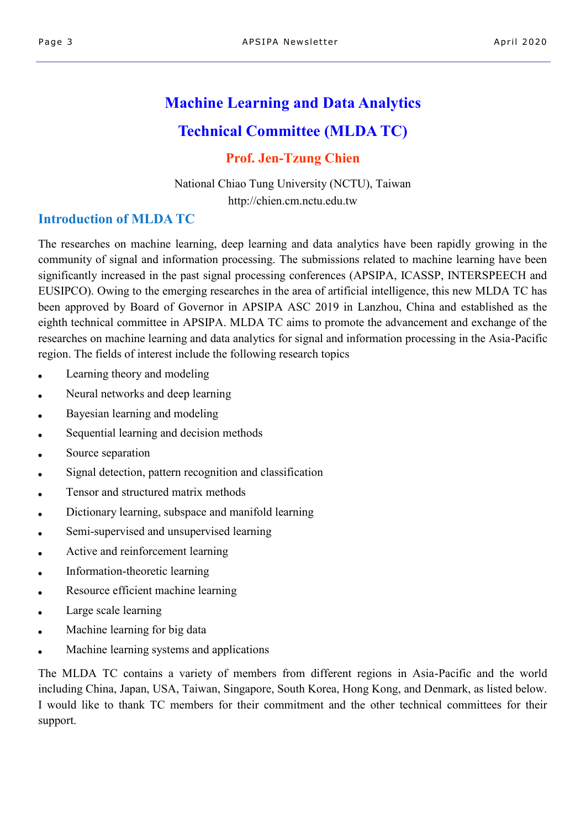# **Machine Learning and Data Analytics Technical Committee (MLDA TC)**

## **Prof. Jen-Tzung Chien**

National Chiao Tung University (NCTU), Taiwan http://chien.cm.nctu.edu.tw

## **Introduction of MLDA TC**

The researches on machine learning, deep learning and data analytics have been rapidly growing in the community of signal and information processing. The submissions related to machine learning have been significantly increased in the past signal processing conferences (APSIPA, ICASSP, INTERSPEECH and EUSIPCO). Owing to the emerging researches in the area of artificial intelligence, this new MLDA TC has been approved by Board of Governor in APSIPA ASC 2019 in Lanzhou, China and established as the eighth technical committee in APSIPA. MLDA TC aims to promote the advancement and exchange of the researches on machine learning and data analytics for signal and information processing in the Asia-Pacific region. The fields of interest include the following research topics

- Learning theory and modeling
- Neural networks and deep learning
- Bayesian learning and modeling
- Sequential learning and decision methods
- Source separation
- Signal detection, pattern recognition and classification
- Tensor and structured matrix methods
- $\bullet$  Dictionary learning, subspace and manifold learning
- Semi-supervised and unsupervised learning
- Active and reinforcement learning
- Information-theoretic learning
- Resource efficient machine learning
- Large scale learning
- Machine learning for big data
- Machine learning systems and applications

The MLDA TC contains a variety of members from different regions in Asia-Pacific and the world including China, Japan, USA, Taiwan, Singapore, South Korea, Hong Kong, and Denmark, as listed below. I would like to thank TC members for their commitment and the other technical committees for their support.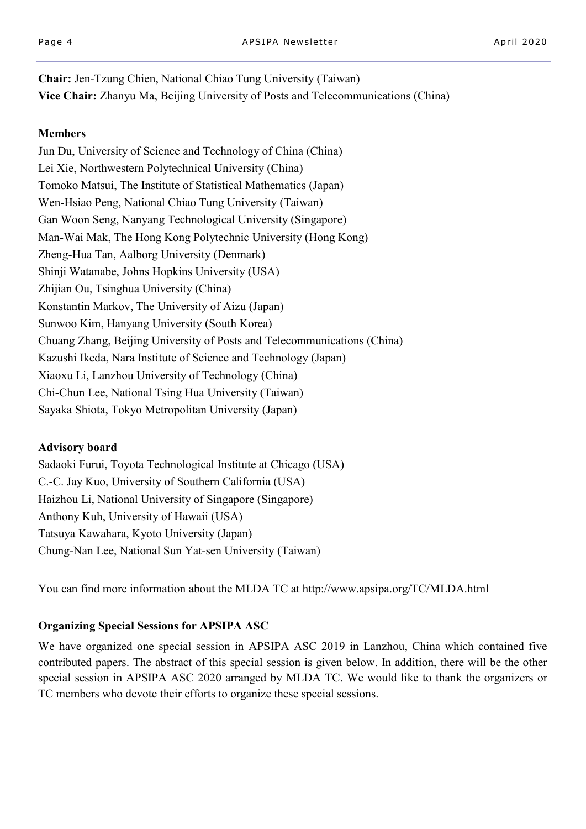**Chair:** Jen-Tzung Chien, National Chiao Tung University (Taiwan) **Vice Chair:** Zhanyu Ma, Beijing University of Posts and Telecommunications (China)

#### **Members**

Jun Du, University of Science and Technology of China (China) Lei Xie, Northwestern Polytechnical University (China) Tomoko Matsui, The Institute of Statistical Mathematics (Japan) Wen-Hsiao Peng, National Chiao Tung University (Taiwan) Gan Woon Seng, Nanyang Technological University (Singapore) Man-Wai Mak, The Hong Kong Polytechnic University (Hong Kong) Zheng-Hua Tan, Aalborg University (Denmark) Shinji Watanabe, Johns Hopkins University (USA) Zhijian Ou, Tsinghua University (China) Konstantin Markov, The University of Aizu (Japan) Sunwoo Kim, Hanyang University (South Korea) Chuang Zhang, Beijing University of Posts and Telecommunications (China) Kazushi Ikeda, Nara Institute of Science and Technology (Japan) Xiaoxu Li, Lanzhou University of Technology (China) Chi-Chun Lee, National Tsing Hua University (Taiwan) Sayaka Shiota, Tokyo Metropolitan University (Japan)

### **Advisory board**

Sadaoki Furui, Toyota Technological Institute at Chicago (USA) C.-C. Jay Kuo, University of Southern California (USA) Haizhou Li, National University of Singapore (Singapore) Anthony Kuh, University of Hawaii (USA) Tatsuya Kawahara, Kyoto University (Japan) Chung-Nan Lee, National Sun Yat-sen University (Taiwan)

You can find more information about the MLDA TC at http://www.apsipa.org/TC/MLDA.html

### **Organizing Special Sessions for APSIPA ASC**

We have organized one special session in APSIPA ASC 2019 in Lanzhou, China which contained five contributed papers. The abstract of this special session is given below. In addition, there will be the other special session in APSIPA ASC 2020 arranged by MLDA TC. We would like to thank the organizers or TC members who devote their efforts to organize these special sessions.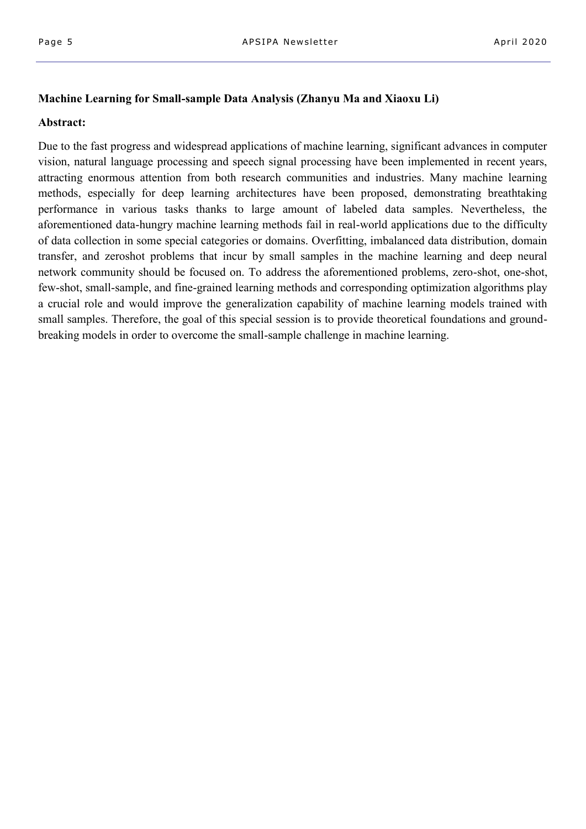#### **Machine Learning for Small-sample Data Analysis (Zhanyu Ma and Xiaoxu Li)**

#### **Abstract:**

Due to the fast progress and widespread applications of machine learning, significant advances in computer vision, natural language processing and speech signal processing have been implemented in recent years, attracting enormous attention from both research communities and industries. Many machine learning methods, especially for deep learning architectures have been proposed, demonstrating breathtaking performance in various tasks thanks to large amount of labeled data samples. Nevertheless, the aforementioned data-hungry machine learning methods fail in real-world applications due to the difficulty of data collection in some special categories or domains. Overfitting, imbalanced data distribution, domain transfer, and zeroshot problems that incur by small samples in the machine learning and deep neural network community should be focused on. To address the aforementioned problems, zero-shot, one-shot, few-shot, small-sample, and fine-grained learning methods and corresponding optimization algorithms play a crucial role and would improve the generalization capability of machine learning models trained with small samples. Therefore, the goal of this special session is to provide theoretical foundations and groundbreaking models in order to overcome the small-sample challenge in machine learning.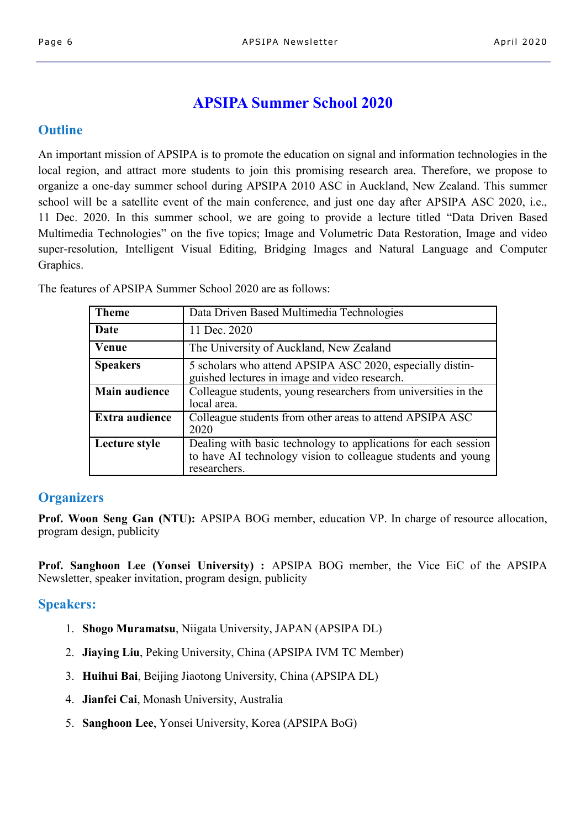# **APSIPA Summer School 2020**

## **Outline**

An important mission of APSIPA is to promote the education on signal and information technologies in the local region, and attract more students to join this promising research area. Therefore, we propose to organize a one-day summer school during APSIPA 2010 ASC in Auckland, New Zealand. This summer school will be a satellite event of the main conference, and just one day after APSIPA ASC 2020, i.e., 11 Dec. 2020. In this summer school, we are going to provide a lecture titled "Data Driven Based Multimedia Technologies" on the five topics; Image and Volumetric Data Restoration, Image and video super-resolution, Intelligent Visual Editing, Bridging Images and Natural Language and Computer Graphics.

**Theme Data Driven Based Multimedia Technologies Date** 11 Dec. 2020 **Venue** The University of Auckland, New Zealand **Speakers** 5 scholars who attend APSIPA ASC 2020, especially distinguished lectures in image and video research. **Main audience** Colleague students, young researchers from universities in the local area. **Extra audience** Colleague students from other areas to attend APSIPA ASC 2020 researchers.

The features of APSIPA Summer School 2020 are as follows:

## **Organizers**

**Prof. Woon Seng Gan (NTU):** APSIPA BOG member, education VP. In charge of resource allocation, program design, publicity

**Prof. Sanghoon Lee (Yonsei University) :** APSIPA BOG member, the Vice EiC of the APSIPA Newsletter, speaker invitation, program design, publicity

## **Speakers:**

- 1. **Shogo Muramatsu**, Niigata University, JAPAN (APSIPA DL)
- 2. **Jiaying Liu**, Peking University, China (APSIPA IVM TC Member)
- 3. **Huihui Bai**, Beijing Jiaotong University, China (APSIPA DL)
- 4. **Jianfei Cai**, Monash University, Australia
- 5. **Sanghoon Lee**, Yonsei University, Korea (APSIPA BoG)

| Date                 | 11 Dec. 2020                                                                                                                                   |
|----------------------|------------------------------------------------------------------------------------------------------------------------------------------------|
| Venue                | The University of Auckland, New Zealand                                                                                                        |
| <b>Speakers</b>      | 5 scholars who attend APSIPA ASC 2020, especially distin-<br>guished lectures in image and video research.                                     |
| <b>Main audience</b> | Colleague students, young researchers from universities in the<br>local area.                                                                  |
| Extra audience       | Colleague students from other areas to attend APSIPA ASC<br>2020                                                                               |
| Lecture style        | Dealing with basic technology to applications for each session<br>to have AI technology vision to colleague students and young<br>researchers. |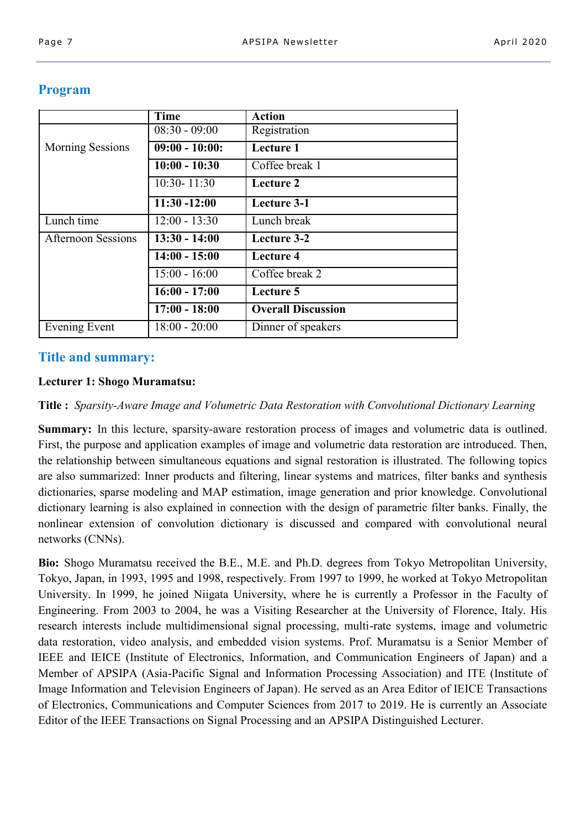|                           | <b>Time</b>      | <b>Action</b>             |  |
|---------------------------|------------------|---------------------------|--|
|                           | $08:30 - 09:00$  | Registration              |  |
| <b>Morning Sessions</b>   | $09:00 - 10:00:$ | Lecture 1                 |  |
|                           | $10:00 - 10:30$  | Coffee break 1            |  |
|                           | 10:30-11:30      | Lecture 2                 |  |
|                           | $11:30 - 12:00$  | <b>Lecture 3-1</b>        |  |
| Lunch time                | $12:00 - 13:30$  | Lunch break               |  |
| <b>Afternoon Sessions</b> | $13:30 - 14:00$  | Lecture 3-2               |  |
|                           | $14:00 - 15:00$  | Lecture 4                 |  |
|                           | $15:00 - 16:00$  | Coffee break 2            |  |
|                           | $16:00 - 17:00$  | Lecture 5                 |  |
|                           | $17:00 - 18:00$  | <b>Overall Discussion</b> |  |
| Evening Event             | $18:00 - 20:00$  | Dinner of speakers        |  |

## **Program**

## **Title and summary:**

### **Lecturer 1: Shogo Muramatsu:**

**Title :** *Sparsity-Aware Image and Volumetric Data Restoration with Convolutional Dictionary Learning* 

**Summary:** In this lecture, sparsity-aware restoration process of images and volumetric data is outlined. First, the purpose and application examples of image and volumetric data restoration are introduced. Then, the relationship between simultaneous equations and signal restoration is illustrated. The following topics are also summarized: Inner products and filtering, linear systems and matrices, filter banks and synthesis dictionaries, sparse modeling and MAP estimation, image generation and prior knowledge. Convolutional dictionary learning is also explained in connection with the design of parametric filter banks. Finally, the nonlinear extension of convolution dictionary is discussed and compared with convolutional neural networks (CNNs).

**Bio:** Shogo Muramatsu received the B.E., M.E. and Ph.D. degrees from Tokyo Metropolitan University, Tokyo, Japan, in 1993, 1995 and 1998, respectively. From 1997 to 1999, he worked at Tokyo Metropolitan University. In 1999, he joined Niigata University, where he is currently a Professor in the Faculty of Engineering. From 2003 to 2004, he was a Visiting Researcher at the University of Florence, Italy. His research interests include multidimensional signal processing, multi-rate systems, image and volumetric data restoration, video analysis, and embedded vision systems. Prof. Muramatsu is a Senior Member of IEEE and IEICE (Institute of Electronics, Information, and Communication Engineers of Japan) and a Member of APSIPA (Asia-Pacific Signal and Information Processing Association) and ITE (Institute of Image Information and Television Engineers of Japan). He served as an Area Editor of IEICE Transactions of Electronics, Communications and Computer Sciences from 2017 to 2019. He is currently an Associate Editor of the IEEE Transactions on Signal Processing and an APSIPA Distinguished Lecturer.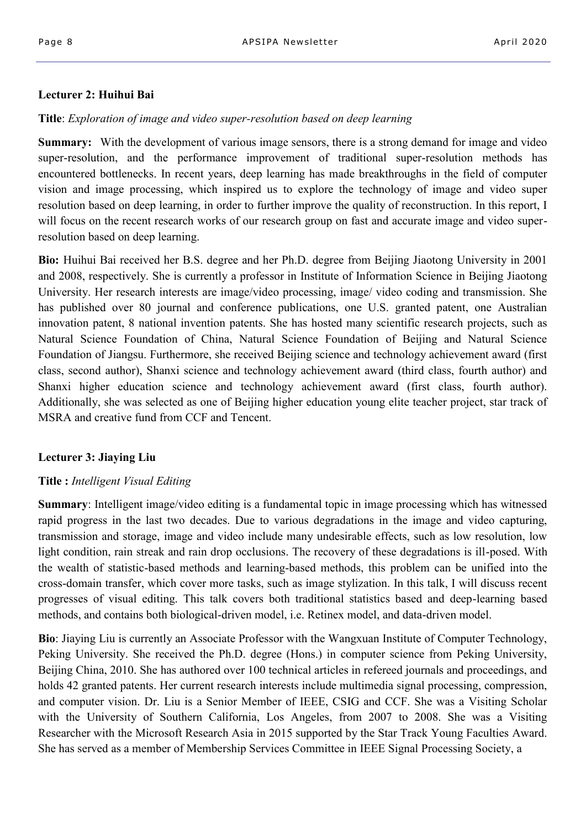#### **Lecturer 2: Huihui Bai**

#### **Title**: *Exploration of image and video super-resolution based on deep learning*

**Summary:** With the development of various image sensors, there is a strong demand for image and video super-resolution, and the performance improvement of traditional super-resolution methods has encountered bottlenecks. In recent years, deep learning has made breakthroughs in the field of computer vision and image processing, which inspired us to explore the technology of image and video super resolution based on deep learning, in order to further improve the quality of reconstruction. In this report, I will focus on the recent research works of our research group on fast and accurate image and video superresolution based on deep learning.

**Bio:** Huihui Bai received her B.S. degree and her Ph.D. degree from Beijing Jiaotong University in 2001 and 2008, respectively. She is currently a professor in Institute of Information Science in Beijing Jiaotong University. Her research interests are image/video processing, image/ video coding and transmission. She has published over 80 journal and conference publications, one U.S. granted patent, one Australian innovation patent, 8 national invention patents. She has hosted many scientific research projects, such as Natural Science Foundation of China, Natural Science Foundation of Beijing and Natural Science Foundation of Jiangsu. Furthermore, she received Beijing science and technology achievement award (first class, second author), Shanxi science and technology achievement award (third class, fourth author) and Shanxi higher education science and technology achievement award (first class, fourth author). Additionally, she was selected as one of Beijing higher education young elite teacher project, star track of MSRA and creative fund from CCF and Tencent.

### **Lecturer 3: Jiaying Liu**

#### **Title :** *Intelligent Visual Editing*

**Summary**: Intelligent image/video editing is a fundamental topic in image processing which has witnessed rapid progress in the last two decades. Due to various degradations in the image and video capturing, transmission and storage, image and video include many undesirable effects, such as low resolution, low light condition, rain streak and rain drop occlusions. The recovery of these degradations is ill-posed. With the wealth of statistic-based methods and learning-based methods, this problem can be unified into the cross-domain transfer, which cover more tasks, such as image stylization. In this talk, I will discuss recent progresses of visual editing. This talk covers both traditional statistics based and deep-learning based methods, and contains both biological-driven model, i.e. Retinex model, and data-driven model.

**Bio**: Jiaying Liu is currently an Associate Professor with the Wangxuan Institute of Computer Technology, Peking University. She received the Ph.D. degree (Hons.) in computer science from Peking University, Beijing China, 2010. She has authored over 100 technical articles in refereed journals and proceedings, and holds 42 granted patents. Her current research interests include multimedia signal processing, compression, and computer vision. Dr. Liu is a Senior Member of IEEE, CSIG and CCF. She was a Visiting Scholar with the University of Southern California, Los Angeles, from 2007 to 2008. She was a Visiting Researcher with the Microsoft Research Asia in 2015 supported by the Star Track Young Faculties Award. She has served as a member of Membership Services Committee in IEEE Signal Processing Society, a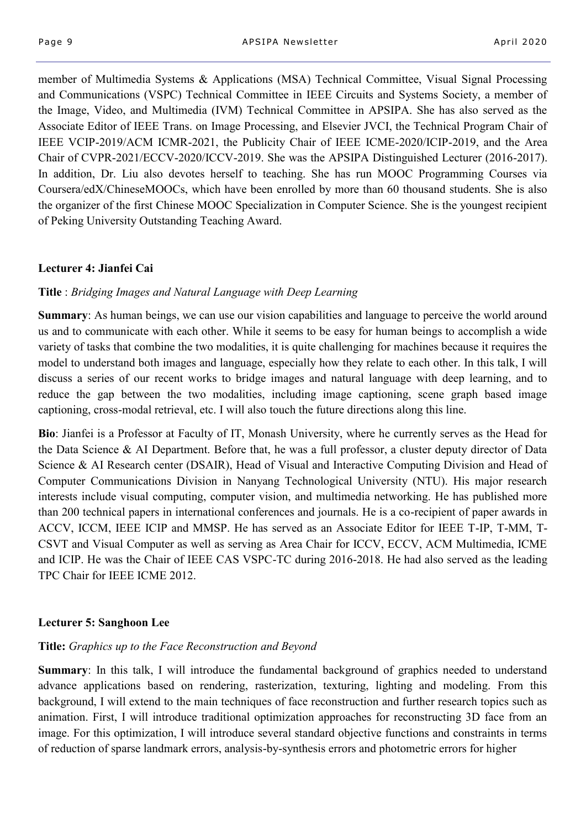member of Multimedia Systems & Applications (MSA) Technical Committee, Visual Signal Processing and Communications (VSPC) Technical Committee in IEEE Circuits and Systems Society, a member of the Image, Video, and Multimedia (IVM) Technical Committee in APSIPA. She has also served as the Associate Editor of IEEE Trans. on Image Processing, and Elsevier JVCI, the Technical Program Chair of IEEE VCIP-2019/ACM ICMR-2021, the Publicity Chair of IEEE ICME-2020/ICIP-2019, and the Area Chair of CVPR-2021/ECCV-2020/ICCV-2019. She was the APSIPA Distinguished Lecturer (2016-2017). In addition, Dr. Liu also devotes herself to teaching. She has run MOOC Programming Courses via Coursera/edX/ChineseMOOCs, which have been enrolled by more than 60 thousand students. She is also the organizer of the first Chinese MOOC Specialization in Computer Science. She is the youngest recipient of Peking University Outstanding Teaching Award.

#### **Lecturer 4: Jianfei Cai**

#### **Title** : *Bridging Images and Natural Language with Deep Learning*

**Summary:** As human beings, we can use our vision capabilities and language to perceive the world around us and to communicate with each other. While it seems to be easy for human beings to accomplish a wide variety of tasks that combine the two modalities, it is quite challenging for machines because it requires the model to understand both images and language, especially how they relate to each other. In this talk, I will discuss a series of our recent works to bridge images and natural language with deep learning, and to reduce the gap between the two modalities, including image captioning, scene graph based image captioning, cross-modal retrieval, etc. I will also touch the future directions along this line.

**Bio**: Jianfei is a Professor at Faculty of IT, Monash University, where he currently serves as the Head for the Data Science & AI Department. Before that, he was a full professor, a cluster deputy director of Data Science & AI Research center (DSAIR), Head of Visual and Interactive Computing Division and Head of Computer Communications Division in Nanyang Technological University (NTU). His major research interests include visual computing, computer vision, and multimedia networking. He has published more than 200 technical papers in international conferences and journals. He is a co-recipient of paper awards in ACCV, ICCM, IEEE ICIP and MMSP. He has served as an Associate Editor for IEEE T-IP, T-MM, T-CSVT and Visual Computer as well as serving as Area Chair for ICCV, ECCV, ACM Multimedia, ICME and ICIP. He was the Chair of IEEE CAS VSPC-TC during 2016-2018. He had also served as the leading TPC Chair for IEEE ICME 2012.

#### **Lecturer 5: Sanghoon Lee**

#### **Title:** *Graphics up to the Face Reconstruction and Beyond*

**Summary**: In this talk, I will introduce the fundamental background of graphics needed to understand advance applications based on rendering, rasterization, texturing, lighting and modeling. From this background, I will extend to the main techniques of face reconstruction and further research topics such as animation. First, I will introduce traditional optimization approaches for reconstructing 3D face from an image. For this optimization, I will introduce several standard objective functions and constraints in terms of reduction of sparse landmark errors, analysis-by-synthesis errors and photometric errors for higher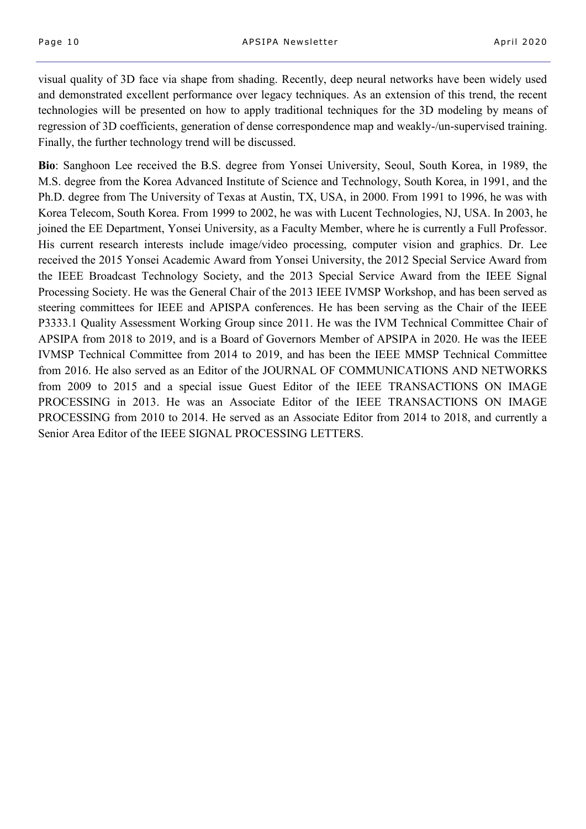visual quality of 3D face via shape from shading. Recently, deep neural networks have been widely used and demonstrated excellent performance over legacy techniques. As an extension of this trend, the recent technologies will be presented on how to apply traditional techniques for the 3D modeling by means of regression of 3D coefficients, generation of dense correspondence map and weakly-/un-supervised training. Finally, the further technology trend will be discussed.

**Bio**: Sanghoon Lee received the B.S. degree from Yonsei University, Seoul, South Korea, in 1989, the M.S. degree from the Korea Advanced Institute of Science and Technology, South Korea, in 1991, and the Ph.D. degree from The University of Texas at Austin, TX, USA, in 2000. From 1991 to 1996, he was with Korea Telecom, South Korea. From 1999 to 2002, he was with Lucent Technologies, NJ, USA. In 2003, he joined the EE Department, Yonsei University, as a Faculty Member, where he is currently a Full Professor. His current research interests include image/video processing, computer vision and graphics. Dr. Lee received the 2015 Yonsei Academic Award from Yonsei University, the 2012 Special Service Award from the IEEE Broadcast Technology Society, and the 2013 Special Service Award from the IEEE Signal Processing Society. He was the General Chair of the 2013 IEEE IVMSP Workshop, and has been served as steering committees for IEEE and APISPA conferences. He has been serving as the Chair of the IEEE P3333.1 Quality Assessment Working Group since 2011. He was the IVM Technical Committee Chair of APSIPA from 2018 to 2019, and is a Board of Governors Member of APSIPA in 2020. He was the IEEE IVMSP Technical Committee from 2014 to 2019, and has been the IEEE MMSP Technical Committee from 2016. He also served as an Editor of the JOURNAL OF COMMUNICATIONS AND NETWORKS from 2009 to 2015 and a special issue Guest Editor of the IEEE TRANSACTIONS ON IMAGE PROCESSING in 2013. He was an Associate Editor of the IEEE TRANSACTIONS ON IMAGE PROCESSING from 2010 to 2014. He served as an Associate Editor from 2014 to 2018, and currently a Senior Area Editor of the IEEE SIGNAL PROCESSING LETTERS.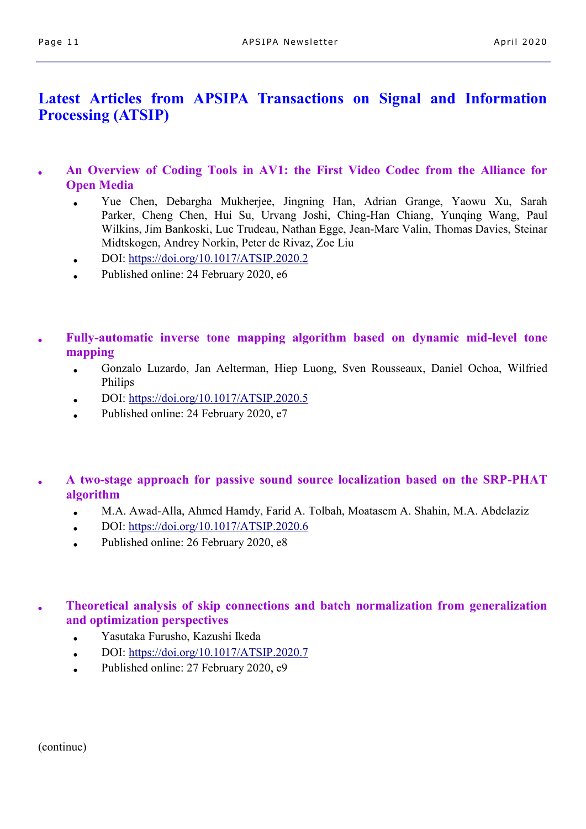# **Latest Articles from APSIPA Transactions on Signal and Information Processing (ATSIP)**

- **An Overview of Coding Tools in AV1: the First Video Codec from the Alliance for Open Media**
	- Yue Chen, Debargha Mukherjee, Jingning Han, Adrian Grange, Yaowu Xu, Sarah Parker, Cheng Chen, Hui Su, Urvang Joshi, Ching-Han Chiang, Yunqing Wang, Paul Wilkins, Jim Bankoski, Luc Trudeau, Nathan Egge, Jean-Marc Valin, Thomas Davies, Steinar Midtskogen, Andrey Norkin, Peter de Rivaz, Zoe Liu
	- DOI: <https://doi.org/10.1017/ATSIP.2020.2>
	- Published online: 24 February 2020, e6
- **Fully-automatic inverse tone mapping algorithm based on dynamic mid-level tone mapping**
	- Gonzalo Luzardo, Jan Aelterman, Hiep Luong, Sven Rousseaux, Daniel Ochoa, Wilfried Philips
	- DOI: <https://doi.org/10.1017/ATSIP.2020.5>
	- Published online: 24 February 2020, e7
- **A two-stage approach for passive sound source localization based on the SRP-PHAT algorithm**
	- M.A. Awad-Alla, Ahmed Hamdy, Farid A. Tolbah, Moatasem A. Shahin, M.A. Abdelaziz
	- $\bullet$  DOI: <https://doi.org/10.1017/ATSIP.2020.6>
	- Published online: 26 February 2020, e8

**Theoretical analysis of skip connections and batch normalization from generalization and optimization perspectives**

- Yasutaka Furusho, Kazushi Ikeda
- DOI: <https://doi.org/10.1017/ATSIP.2020.7>
- Published online:  $27$  February 2020, e9

(continue)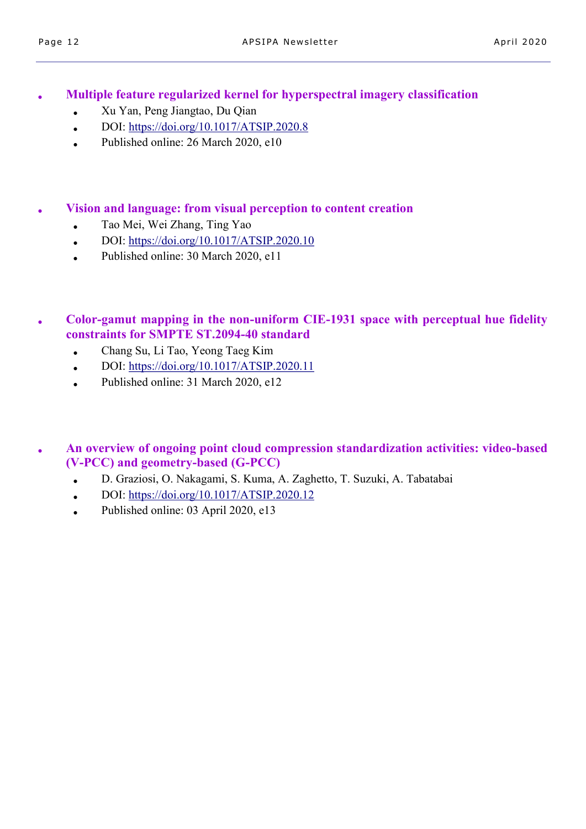● **Multiple feature regularized kernel for hyperspectral imagery classification**

- Xu Yan, Peng Jiangtao, Du Qian
- DOI:  $\frac{https://doi.org/10.1017/ATSIP.2020.8}{https://doi.org/10.1017/ATSIP.2020.8}$
- $\bullet$  Published online: 26 March 2020, e10

● **Vision and language: from visual perception to content creation**

- Tao Mei, Wei Zhang, Ting Yao
- DOI: <https://doi.org/10.1017/ATSIP.2020.10>
- $\bullet$  Published online: 30 March 2020, e11
- **Color-gamut mapping in the non-uniform CIE-1931 space with perceptual hue fidelity constraints for SMPTE ST.2094-40 standard**
	- Chang Su, Li Tao, Yeong Taeg Kim
	- DOI: <https://doi.org/10.1017/ATSIP.2020.11>
	- Published online: 31 March 2020, e12
- **An overview of ongoing point cloud compression standardization activities: video-based (V-PCC) and geometry-based (G-PCC)**
	- D. Graziosi, O. Nakagami, S. Kuma, A. Zaghetto, T. Suzuki, A. Tabatabai
	- DOI: <https://doi.org/10.1017/ATSIP.2020.12>
	- Published online: 03 April 2020, e13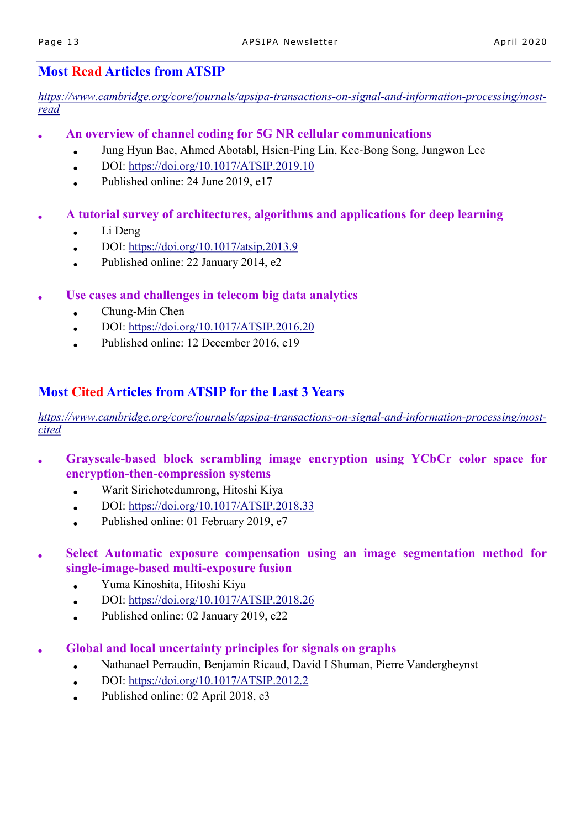# **Most Read Articles from ATSIP**

*[https://www.cambridge.org/core/journals/apsipa](https://www.cambridge.org/core/journals/apsipa-transactions-on-signal-and-information-processing/most-read)-transactions-on-signal-and-information-processing/most[read](https://www.cambridge.org/core/journals/apsipa-transactions-on-signal-and-information-processing/most-read)*

- **An overview of channel coding for 5G NR cellular communications**
	- Jung Hyun Bae, Ahmed Abotabl, Hsien-Ping Lin, Kee-Bong Song, Jungwon Lee
	- $\bullet$  DOI: <https://doi.org/10.1017/ATSIP.2019.10>
	- Published online:  $24$  June  $2019$ , e17
- **A tutorial survey of architectures, algorithms and applications for deep learning**
	- $\bullet$  Li Deng
	- DOI: <https://doi.org/10.1017/atsip.2013.9>
	- Published online: 22 January 2014, e2
- Use cases and challenges in telecom big data analytics
	- $\bullet$  Chung-Min Chen
	- DOI: <https://doi.org/10.1017/ATSIP.2016.20>
	- Published online: 12 December 2016, e19

# **Most Cited Articles from ATSIP for the Last 3 Years**

*[https://www.cambridge.org/core/journals/apsipa](https://www.cambridge.org/core/journals/apsipa-transactions-on-signal-and-information-processing/most-cited)-transactions-on-signal-and-information-processing/most[cited](https://www.cambridge.org/core/journals/apsipa-transactions-on-signal-and-information-processing/most-cited)*

- **Grayscale-based block scrambling image encryption using YCbCr color space for encryption-then-compression systems**
	- Warit Sirichotedumrong, Hitoshi Kiya
	- DOI: <https://doi.org/10.1017/ATSIP.2018.33>
	- Published online: 01 February 2019,  $e7$
- **Select Automatic exposure compensation using an image segmentation method for single-image-based multi-exposure fusion**
	- Yuma Kinoshita, Hitoshi Kiya
	- $\bullet$  DOI: <https://doi.org/10.1017/ATSIP.2018.26>
	- Published online: 02 January 2019, e22
- **Global and local uncertainty principles for signals on graphs**
	- Nathanael Perraudin, Benjamin Ricaud, David I Shuman, Pierre Vandergheynst
	- DOI: <https://doi.org/10.1017/ATSIP.2012.2>
	- Published online: 02 April 2018, e3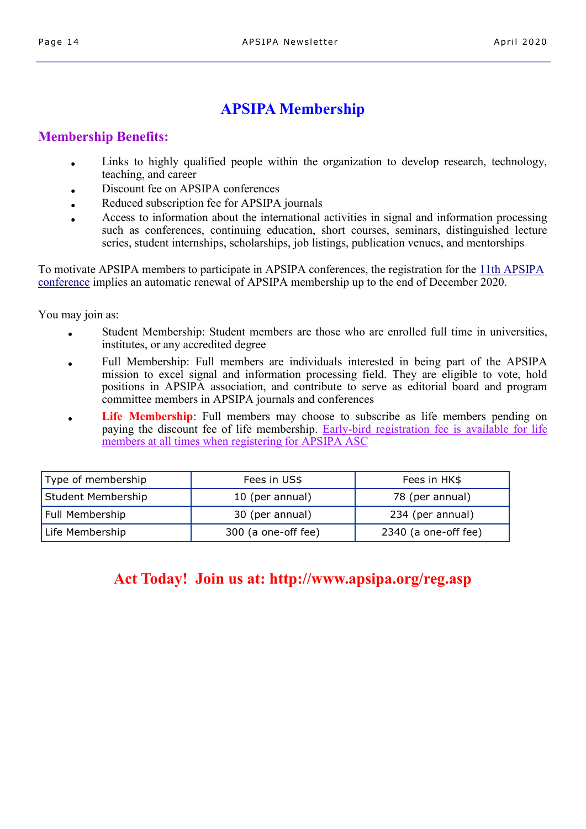# **APSIPA Membership**

## **Membership Benefits:**

- Links to highly qualified people within the organization to develop research, technology, teaching, and career
- Discount fee on APSIPA conferences
- Reduced subscription fee for APSIPA journals
- Access to information about the international activities in signal and information processing such as conferences, continuing education, short courses, seminars, distinguished lecture series, student internships, scholarships, job listings, publication venues, and mentorships

To motivate APSIPA members to participate in APSIPA conferences, the registration for the [11th APSIPA](http://www.apsipa2019.org)  [conference](http://www.apsipa2019.org) implies an automatic renewal of APSIPA membership up to the end of December 2020.

You may join as:

- Student Membership: Student members are those who are enrolled full time in universities, institutes, or any accredited degree
- Full Membership: Full members are individuals interested in being part of the APSIPA mission to excel signal and information processing field. They are eligible to vote, hold positions in APSIPA association, and contribute to serve as editorial board and program committee members in APSIPA journals and conferences
- **Life Membership**: Full members may choose to subscribe as life members pending on paying the discount fee of life membership. Early-bird registration fee is available for life members at all times when registering for APSIPA ASC

| Type of membership | Fees in US\$        | Fees in HK\$         |
|--------------------|---------------------|----------------------|
| Student Membership | 10 (per annual)     | 78 (per annual)      |
| Full Membership    | 30 (per annual)     | 234 (per annual)     |
| Life Membership    | 300 (a one-off fee) | 2340 (a one-off fee) |

# **Act Today! Join us at: http://www.apsipa.org/reg.asp**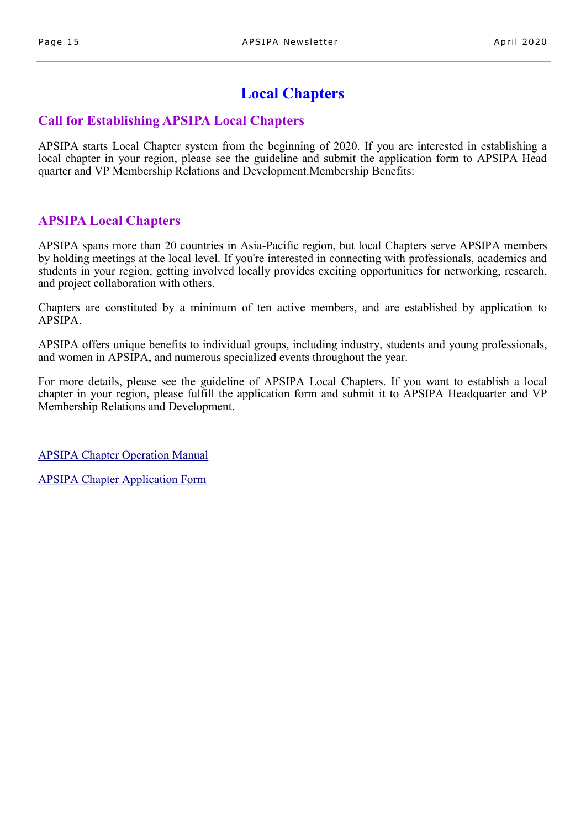# **Local Chapters**

## **Call for Establishing APSIPA Local Chapters**

APSIPA starts Local Chapter system from the beginning of 2020. If you are interested in establishing a local chapter in your region, please see the guideline and submit the application form to APSIPA Head quarter and VP Membership Relations and Development.Membership Benefits:

## **APSIPA Local Chapters**

APSIPA spans more than 20 countries in Asia-Pacific region, but local Chapters serve APSIPA members by holding meetings at the local level. If you're interested in connecting with professionals, academics and students in your region, getting involved locally provides exciting opportunities for networking, research, and project collaboration with others.

Chapters are constituted by a minimum of ten active members, and are established by application to APSIPA.

APSIPA offers unique benefits to individual groups, including industry, students and young professionals, and women in APSIPA, and numerous specialized events throughout the year.

For more details, please see the guideline of APSIPA Local Chapters. If you want to establish a local chapter in your region, please fulfill the application form and submit it to APSIPA Headquarter and VP Membership Relations and Development.

[APSIPA Chapter Operation Manual](http://www.apsipa.org/doc/Chapter%20Operation%20Manual%20ver2.pdf)

[APSIPA Chapter Application Form](http://www.apsipa.org/doc/APSIPA%20Chapter%20Application%20Form.doc)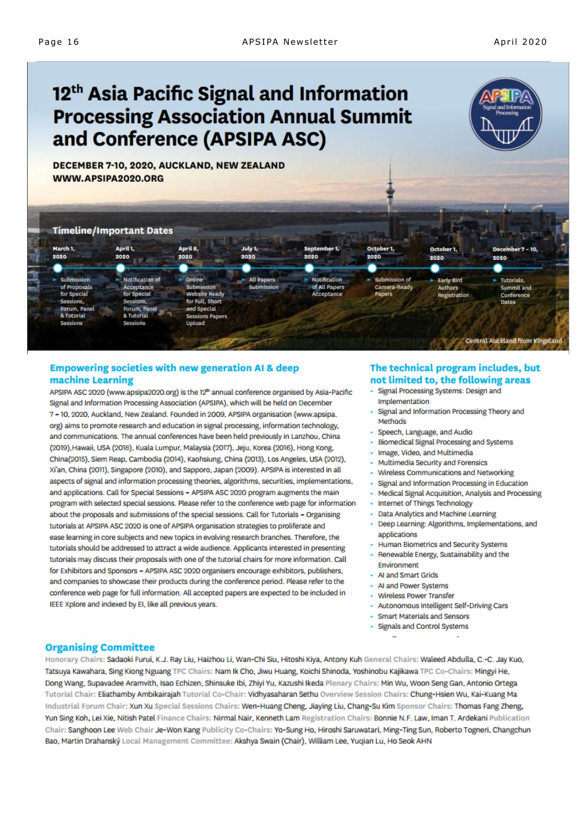# 12<sup>th</sup> Asia Pacific Signal and Information **Processing Association Annual Summit** and Conference (APSIPA ASC)



DECEMBER 7-10, 2020, AUCKLAND, NEW ZEALAND WWW.APSIPA2020.ORG

#### **Timeline/Important Dates**



#### **Empowering societies with new generation AI & deep** machine Learning

APSIPA ASC 2020 (www.apsipa2020.org) is the 12<sup>th</sup> annual conference organised by Asia-Pacific Signal and Information Processing Association (APSIPA), which will be held on December 7 - 10, 2020, Auckland, New Zealand. Founded in 2009, APSIPA organisation (www.apsipa. org) aims to promote research and education in signal processing, information technology, and communications. The annual conferences have been held previously in Lanzhou, China (2019), Hawaii, USA (2018), Kuala Lumpur, Malaysia (2017), Jeju, Korea (2016), Hong Kong, China(2015), Siem Reap, Cambodia (2014), Kaohsiung, China (2013), Los Angeles, USA (2012), Xi'an, China (2011), Singapore (2010), and Sapporo, Japan (2009). APSIPA is interested in all aspects of signal and information processing theories, algorithms, securities, implementations, and applications. Call for Special Sessions - APSIPA ASC 2020 program augments the main program with selected special sessions. Please refer to the conference web page for information about the proposals and submissions of the special sessions. Call for Tutorials - Organising tutorials at APSIPA ASC 2020 is one of APSIPA organisation strategies to proliferate and ease learning in core subjects and new topics in evolving research branches. Therefore, the tutorials should be addressed to attract a wide audience. Applicants interested in presenting tutorials may discuss their proposals with one of the tutorial chairs for more information. Call for Exhibitors and Sponsors - APSIPA ASC 2020 organisers encourage exhibitors, publishers, and companies to showcase their products during the conference period. Please refer to the conference web page for full information. All accepted papers are expected to be included in IEEE Xplore and indexed by EI, like all previous years.

#### The technical program includes, but not limited to, the following areas

- Signal Processing Systems: Design and Implementation
- Signal and Information Processing Theory and Methods
- Speech, Language, and Audio
- Biomedical Signal Processing and Systems
- Image, Video, and Multimedia
- Multimedia Security and Forensics
- Wireless Communications and Networking
- Signal and Information Processing in Education
- Medical Signal Acquisition, Analysis and Processing
- Internet of Things Technology
- Data Analytics and Machine Learning
- Deep Learning: Algorithms, Implementations, and applications
- Human Biometrics and Security Systems
- Renewable Energy, Sustainability and the Environment
- Al and Smart Grids
- AI and Power Systems
- Wireless Power Transfer
- Autonomous Intelligent Self-Driving Cars
- **Smart Materials and Sensors**
- Signals and Control Systems

#### **Organising Committee**

Honorary Chairs: Sadaoki Furui, K.J. Ray Liu, Haizhou Li, Wan-Chi Siu, Hitoshi Kiya, Antony Kuh General Chairs: Waleed Abdulla, C.-C. Jay Kuo, Tatsuya Kawahara, Sing Kiong Nguang TPC Chairs: Nam Ik Cho, Jiwu Huang, Koichi Shinoda, Yoshinobu Kajikawa TPC Co-Chairs: Mingyi He, Dong Wang, Supavadee Aramvith, Isao Echizen, Shinsuke Ibi, Zhiyi Yu, Kazushi Ikeda Plenary Chairs: Min Wu, Woon Seng Gan, Antonio Ortega Tutorial Chair: Eliathamby Ambikairajah Tutorial Co-Chair: Vidhyasaharan Sethu Overview Session Chairs: Chung-Hsien Wu, Kai-Kuang Ma Industrial Forum Chair: Xun Xu Special Sessions Chairs: Wen-Huang Cheng, Jiaying Liu, Chang-Su Kim Sponsor Chairs: Thomas Fang Zheng, Yun Sing Koh, Lei Xie, Nitish Patel Finance Chairs: Nirmal Nair, Kenneth Lam Registration Chairs: Bonnie N.F. Law, Iman T. Ardekani Publication Chair: Sanghoon Lee Web Chair Je-Won Kang Publicity Co-Chairs: Yo-Sung Ho, Hiroshi Saruwatari, Ming-Ting Sun, Roberto Togneri, Changchun Bao, Martin Drahanský Local Management Committee: Akshya Swain (Chair), William Lee, Yuqian Lu, Ho Seok AHN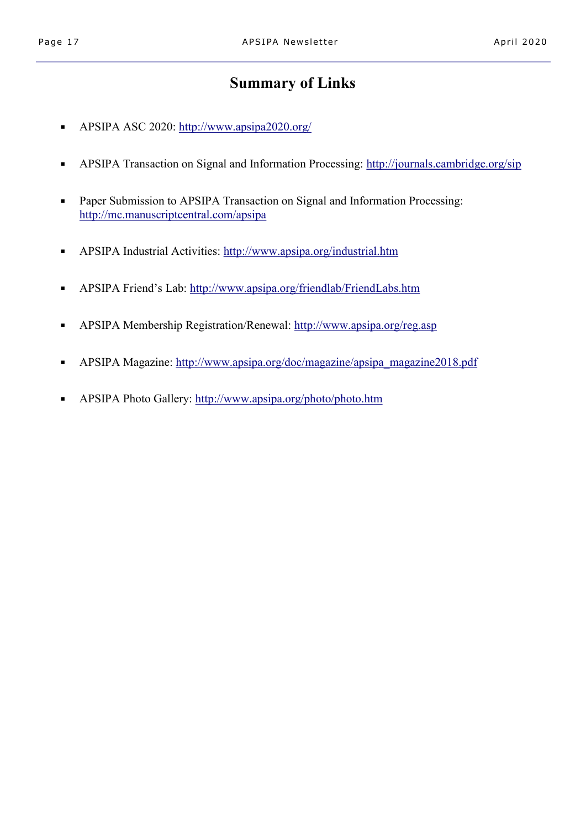# **Summary of Links**

- APSIPA ASC 2020: <http://www.apsipa2020.org/>
- APSIPA Transaction on Signal and Information Processing:<http://journals.cambridge.org/sip>
- Paper Submission to APSIPA Transaction on Signal and Information Processing: <http://mc.manuscriptcentral.com/apsipa>
- APSIPA Industrial Activities:<http://www.apsipa.org/industrial.htm>
- APSIPA Friend's Lab: <http://www.apsipa.org/friendlab/FriendLabs.htm>
- APSIPA Membership Registration/Renewal: <http://www.apsipa.org/reg.asp>
- APSIPA Magazine: [http://www.apsipa.org/doc/magazine/apsipa\\_magazine2018.pdf](http://www.apsipa.org/doc/magazine/apsipa_magazine2018.pdf)
- APSIPA Photo Gallery: <http://www.apsipa.org/photo/photo.htm>